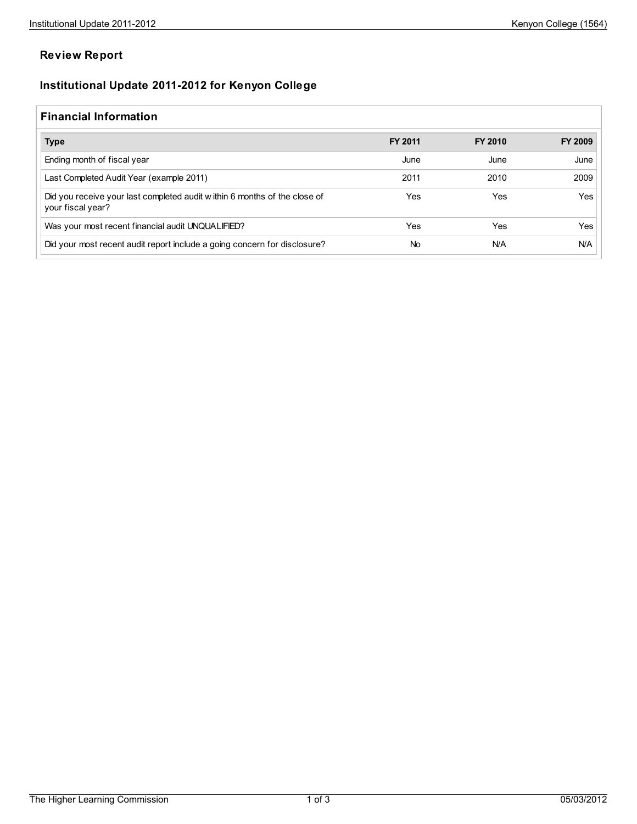# **Review Report**

# **Institutional Update 2011-2012 for Kenyon College**

## **Financial Information**

| <b>Type</b>                                                                                    | FY 2011 | FY 2010    | <b>FY 2009</b> |
|------------------------------------------------------------------------------------------------|---------|------------|----------------|
| Ending month of fiscal year                                                                    | June    | June       | June           |
| Last Completed Audit Year (example 2011)                                                       | 2011    | 2010       | 2009           |
| Did you receive your last completed audit within 6 months of the close of<br>your fiscal year? | Yes     | Yes        | Yes            |
| Was your most recent financial audit UNQUALIFIED?                                              | Yes     | Yes        | Yes            |
| Did your most recent audit report include a going concern for disclosure?                      | No      | <b>N/A</b> | <b>N/A</b>     |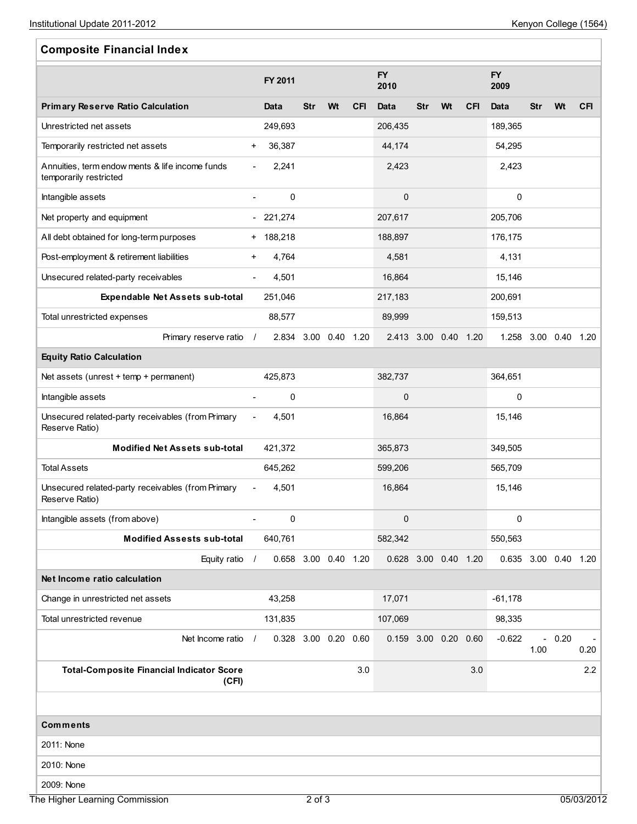# **Composite Financial Index**

|                                                                           |           | FY 2011              |            |    |            | <b>FY</b><br>2010    |            |    |            | <b>FY</b><br>2009    |            |         |            |
|---------------------------------------------------------------------------|-----------|----------------------|------------|----|------------|----------------------|------------|----|------------|----------------------|------------|---------|------------|
| <b>Primary Reserve Ratio Calculation</b>                                  |           | Data                 | <b>Str</b> | Wt | <b>CFI</b> | Data                 | <b>Str</b> | Wt | <b>CFI</b> | <b>Data</b>          | <b>Str</b> | Wt      | <b>CFI</b> |
| Unrestricted net assets                                                   |           | 249,693              |            |    |            | 206,435              |            |    |            | 189,365              |            |         |            |
| Temporarily restricted net assets                                         | $\ddot{}$ | 36,387               |            |    |            | 44,174               |            |    |            | 54,295               |            |         |            |
| Annuities, term endow ments & life income funds<br>temporarily restricted |           | 2,241                |            |    |            | 2,423                |            |    |            | 2,423                |            |         |            |
| Intangible assets                                                         |           | 0                    |            |    |            | $\pmb{0}$            |            |    |            | 0                    |            |         |            |
| Net property and equipment                                                |           | $-221,274$           |            |    |            | 207,617              |            |    |            | 205,706              |            |         |            |
| All debt obtained for long-term purposes                                  |           | + 188,218            |            |    |            | 188,897              |            |    |            | 176,175              |            |         |            |
| Post-employment & retirement liabilities                                  | +         | 4,764                |            |    |            | 4,581                |            |    |            | 4,131                |            |         |            |
| Unsecured related-party receivables                                       |           | 4,501                |            |    |            | 16,864               |            |    |            | 15,146               |            |         |            |
| <b>Expendable Net Assets sub-total</b>                                    |           | 251,046              |            |    |            | 217,183              |            |    |            | 200,691              |            |         |            |
| Total unrestricted expenses                                               |           | 88,577               |            |    |            | 89,999               |            |    |            | 159,513              |            |         |            |
| Primary reserve ratio /                                                   |           | 2.834 3.00 0.40 1.20 |            |    |            | 2.413 3.00 0.40 1.20 |            |    |            | 1.258 3.00 0.40 1.20 |            |         |            |
| <b>Equity Ratio Calculation</b>                                           |           |                      |            |    |            |                      |            |    |            |                      |            |         |            |
| Net assets (unrest + temp + permanent)                                    |           | 425,873              |            |    |            | 382,737              |            |    |            | 364,651              |            |         |            |
| Intangible assets                                                         |           | 0                    |            |    |            | $\mathbf 0$          |            |    |            | 0                    |            |         |            |
| Unsecured related-party receivables (from Primary<br>Reserve Ratio)       |           | 4,501                |            |    |            | 16,864               |            |    |            | 15,146               |            |         |            |
| <b>Modified Net Assets sub-total</b>                                      |           | 421,372              |            |    |            | 365,873              |            |    |            | 349,505              |            |         |            |
| <b>Total Assets</b>                                                       |           | 645,262              |            |    |            | 599,206              |            |    |            | 565,709              |            |         |            |
| Unsecured related-party receivables (from Primary<br>Reserve Ratio)       |           | 4,501                |            |    |            | 16,864               |            |    |            | 15,146               |            |         |            |
| Intangible assets (from above)                                            |           | 0                    |            |    |            | 0                    |            |    |            | 0                    |            |         |            |
| <b>Modified Assests sub-total</b>                                         |           | 640,761              |            |    |            | 582,342              |            |    |            | 550,563              |            |         |            |
| Equity ratio /                                                            |           | 0.658 3.00 0.40 1.20 |            |    |            | 0.628 3.00 0.40 1.20 |            |    |            | 0.635 3.00 0.40 1.20 |            |         |            |
| Net Income ratio calculation                                              |           |                      |            |    |            |                      |            |    |            |                      |            |         |            |
| Change in unrestricted net assets                                         |           | 43,258               |            |    |            | 17,071               |            |    |            | $-61,178$            |            |         |            |
| Total unrestricted revenue                                                |           | 131,835              |            |    |            | 107,069              |            |    |            | 98,335               |            |         |            |
| Net Income ratio                                                          | $\prime$  | 0.328 3.00 0.20 0.60 |            |    |            | 0.159 3.00 0.20 0.60 |            |    |            | $-0.622$             | 1.00       | $-0.20$ | 0.20       |
| <b>Total-Composite Financial Indicator Score</b><br>(CFI)                 |           |                      |            |    | 3.0        |                      |            |    | 3.0        |                      |            |         | $2.2\,$    |
| <b>Comments</b>                                                           |           |                      |            |    |            |                      |            |    |            |                      |            |         |            |
| 2011: None                                                                |           |                      |            |    |            |                      |            |    |            |                      |            |         |            |
| 2010: None                                                                |           |                      |            |    |            |                      |            |    |            |                      |            |         |            |
|                                                                           |           |                      |            |    |            |                      |            |    |            |                      |            |         |            |
| 2009: None                                                                |           |                      |            |    |            |                      |            |    |            |                      |            |         |            |